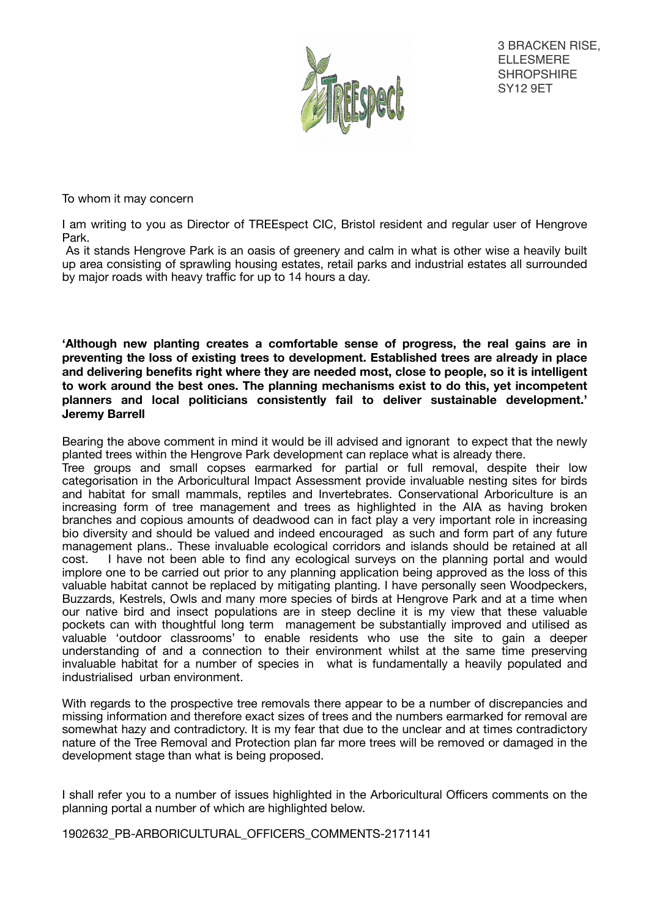

3 BRACKEN RISE, ELLESMERE **SHROPSHIRE** SY12 9ET

To whom it may concern

I am writing to you as Director of TREEspect CIC, Bristol resident and regular user of Hengrove Park.

 As it stands Hengrove Park is an oasis of greenery and calm in what is other wise a heavily built up area consisting of sprawling housing estates, retail parks and industrial estates all surrounded by major roads with heavy traffic for up to 14 hours a day.

**'Although new planting creates a comfortable sense of progress, the real gains are in preventing the loss of existing trees to development. Established trees are already in place and delivering benefits right where they are needed most, close to people, so it is intelligent to work around the best ones. The planning mechanisms exist to do this, yet incompetent planners and local politicians consistently fail to deliver sustainable development.' Jeremy Barrell** 

Bearing the above comment in mind it would be ill advised and ignorant to expect that the newly planted trees within the Hengrove Park development can replace what is already there.

Tree groups and small copses earmarked for partial or full removal, despite their low categorisation in the Arboricultural Impact Assessment provide invaluable nesting sites for birds and habitat for small mammals, reptiles and Invertebrates. Conservational Arboriculture is an increasing form of tree management and trees as highlighted in the AIA as having broken branches and copious amounts of deadwood can in fact play a very important role in increasing bio diversity and should be valued and indeed encouraged as such and form part of any future management plans.. These invaluable ecological corridors and islands should be retained at all cost. I have not been able to find any ecological surveys on the planning portal and would implore one to be carried out prior to any planning application being approved as the loss of this valuable habitat cannot be replaced by mitigating planting. I have personally seen Woodpeckers, Buzzards, Kestrels, Owls and many more species of birds at Hengrove Park and at a time when our native bird and insect populations are in steep decline it is my view that these valuable pockets can with thoughtful long term management be substantially improved and utilised as valuable 'outdoor classrooms' to enable residents who use the site to gain a deeper understanding of and a connection to their environment whilst at the same time preserving invaluable habitat for a number of species in what is fundamentally a heavily populated and industrialised urban environment.

With regards to the prospective tree removals there appear to be a number of discrepancies and missing information and therefore exact sizes of trees and the numbers earmarked for removal are somewhat hazy and contradictory. It is my fear that due to the unclear and at times contradictory nature of the Tree Removal and Protection plan far more trees will be removed or damaged in the development stage than what is being proposed.

I shall refer you to a number of issues highlighted in the Arboricultural Officers comments on the planning portal a number of which are highlighted below.

1902632\_PB-ARBORICULTURAL\_OFFICERS\_COMMENTS-2171141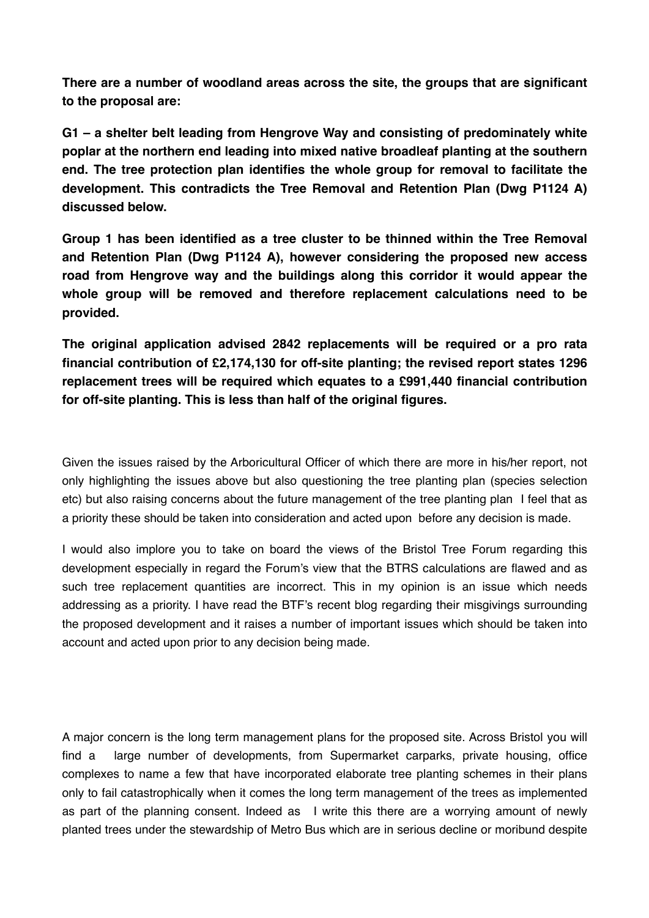**There are a number of woodland areas across the site, the groups that are significant to the proposal are:** 

**G1 – a shelter belt leading from Hengrove Way and consisting of predominately white poplar at the northern end leading into mixed native broadleaf planting at the southern end. The tree protection plan identifies the whole group for removal to facilitate the development. This contradicts the Tree Removal and Retention Plan (Dwg P1124 A) discussed below.** 

**Group 1 has been identified as a tree cluster to be thinned within the Tree Removal and Retention Plan (Dwg P1124 A), however considering the proposed new access road from Hengrove way and the buildings along this corridor it would appear the whole group will be removed and therefore replacement calculations need to be provided.** 

**The original application advised 2842 replacements will be required or a pro rata financial contribution of £2,174,130 for off-site planting; the revised report states 1296 replacement trees will be required which equates to a £991,440 financial contribution for off-site planting. This is less than half of the original figures.** 

Given the issues raised by the Arboricultural Officer of which there are more in his/her report, not only highlighting the issues above but also questioning the tree planting plan (species selection etc) but also raising concerns about the future management of the tree planting plan I feel that as a priority these should be taken into consideration and acted upon before any decision is made.

I would also implore you to take on board the views of the Bristol Tree Forum regarding this development especially in regard the Forum's view that the BTRS calculations are flawed and as such tree replacement quantities are incorrect. This in my opinion is an issue which needs addressing as a priority. I have read the BTF's recent blog regarding their misgivings surrounding the proposed development and it raises a number of important issues which should be taken into account and acted upon prior to any decision being made.

A major concern is the long term management plans for the proposed site. Across Bristol you will find a large number of developments, from Supermarket carparks, private housing, office complexes to name a few that have incorporated elaborate tree planting schemes in their plans only to fail catastrophically when it comes the long term management of the trees as implemented as part of the planning consent. Indeed as I write this there are a worrying amount of newly planted trees under the stewardship of Metro Bus which are in serious decline or moribund despite